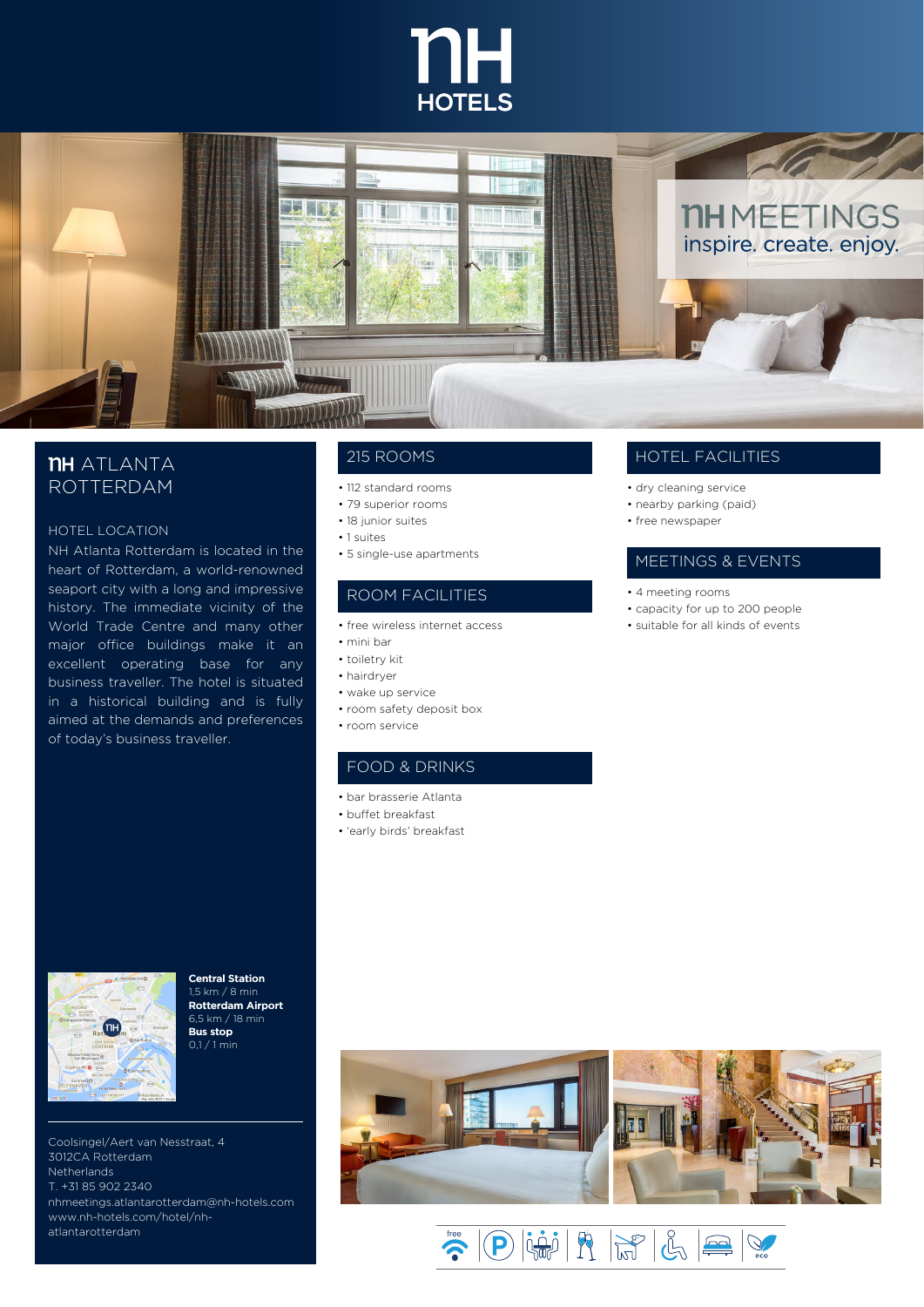Central Station 1,5 km / 8 min Rotterdam Airport 6,5 km / 18 min Bus stop 0,1 / 1 min





## **TH** ATLANTA ROTTERDAM

#### HOTEL LOCATION

NH Atlanta Rotterdam is located in the heart of Rotterdam, a world-renowned seaport city with a long and impressive history. The immediate vicinity of the World Trade Centre and many other major office buildings make it an excellent operating base for any business traveller. The hotel is situated

in a historical building and is fully aimed at the demands and preferences of today's business traveller.



Coolsingel/Aert van Nesstraat, 4 3012CA Rotterdam **Netherlands** T. +31 85 902 2340 nhmeetings.atlantarotterdam@nh-hotels.com www.nh-hotels.com/hotel/nh atlantarotterdam

### HOTEL FACILITIES

- dry cleaning service
- nearby parking (paid)
- free newspaper

#### MEETINGS & EVENTS

- 4 meeting rooms
- capacity for up to 200 people
- suitable for all kinds of events

#### 215 ROOMS

- 112 standard rooms
- 79 superior rooms
- 18 junior suites
- 1 suites
- 5 single-use apartments

### ROOM FACILITIES

- free wireless internet access
- mini bar
- toiletry kit
- hairdryer
- wake up service
- room safety deposit box
- room service

#### FOOD & DRINKS

- bar brasserie Atlanta
- buffet breakfast
- 'early birds' breakfast